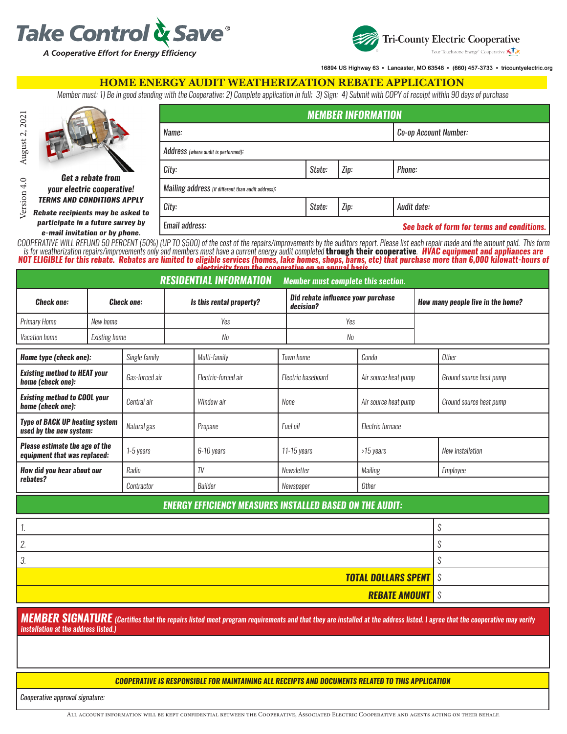



16894 US Highway 63 · Lancaster, MO 63548 · (660) 457-3733 · tricountyelectric.org

#### HOME ENERGY AUDIT WEATHERIZATION REBATE APPLICATION

*Member must: 1) Be in good standing with the Cooperative; 2) Complete application in full; 3) Sign; 4) Submit with COPY of receipt within 90 days of purchase*

|                                                                        | <b>MEMBER INFORMATION</b>                          |                                            |      |             |  |  |  |  |  |
|------------------------------------------------------------------------|----------------------------------------------------|--------------------------------------------|------|-------------|--|--|--|--|--|
|                                                                        | Name:                                              | Co-op Account Number:                      |      |             |  |  |  |  |  |
|                                                                        | Address (where audit is performed):                |                                            |      |             |  |  |  |  |  |
| <b>Get a rebate from</b>                                               | Zip:<br>City:<br>Phone:<br>State:                  |                                            |      |             |  |  |  |  |  |
| your electric cooperative!                                             | Mailing address (if different than audit address): |                                            |      |             |  |  |  |  |  |
| <b>TERMS AND CONDITIONS APPLY</b><br>Rebate recipients may be asked to | City:                                              | State:                                     | Zip: | Audit date: |  |  |  |  |  |
| participate in a future survey by<br>e-mail invitation or by phone.    | Email address:                                     | See back of form for terms and conditions. |      |             |  |  |  |  |  |

*COOPERATIVE WILL REFUND 50 PERCENT (50%) (UP TO \$500) of the cost of the repairs/improvements by the auditors report. Please list each repair made and the amount paid. This form*  is for weatherization repairs/improvements only and members must have a current energy audit completed **through their cooperative. HVAC equipment and appliances are** *NOT ELIGIBLE for this rebate. Rebates are limited to eligible services (homes, lake homes, shops, barns, etc) that purchase more than 6,000 kilowatt-hours of* 

| electricity from the cooenrative on an annual basis                         |                      |                          |     |                     |                                                 |                    |                                   |                  |                         |  |  |  |
|-----------------------------------------------------------------------------|----------------------|--------------------------|-----|---------------------|-------------------------------------------------|--------------------|-----------------------------------|------------------|-------------------------|--|--|--|
| <b>RESIDENTIAL INFORMATION</b><br><b>Member must complete this section.</b> |                      |                          |     |                     |                                                 |                    |                                   |                  |                         |  |  |  |
| <b>Check one:</b><br><b>Check one:</b>                                      |                      | Is this rental property? |     |                     | Did rebate influence your purchase<br>decision? |                    | How many people live in the home? |                  |                         |  |  |  |
| <b>Primary Home</b>                                                         | New home             |                          | Yes |                     |                                                 | Yes                |                                   |                  |                         |  |  |  |
| Vacation home                                                               | <b>Existing home</b> |                          | No  |                     |                                                 | No                 |                                   |                  |                         |  |  |  |
| Home type (check one):                                                      |                      | Single family            |     | Multi-family        |                                                 | Town home          | Condo                             |                  | <b>Other</b>            |  |  |  |
| <b>Existing method to HEAT your</b><br>home (check one):                    |                      | Gas-forced air           |     | Electric-forced air |                                                 | Electric baseboard | Air source heat pump              |                  | Ground source heat pump |  |  |  |
| <b>Existing method to COOL your</b><br>home (check one):                    |                      | Central air              |     | Window air          | None                                            |                    | Air source heat pump              |                  | Ground source heat pump |  |  |  |
| <b>Type of BACK UP heating system</b><br>used by the new system:            |                      | Natural gas              |     | Propane             | Fuel oil                                        |                    | Electric furnace                  |                  |                         |  |  |  |
| Please estimate the age of the<br>equipment that was replaced:              |                      | 1-5 years<br>6-10 years  |     |                     | 11-15 years                                     | >15 years          |                                   | New installation |                         |  |  |  |
| How did you hear about our                                                  |                      | Radio                    |     | TV                  |                                                 | Newsletter         | Mailing                           |                  | Employee                |  |  |  |
| rebates?                                                                    |                      | Contractor               |     | Builder             |                                                 | Newspaper          | Other                             |                  |                         |  |  |  |
| <b>ENERGY EFFICIENCY MEASURES INSTALLED BASED ON THE AUDIT:</b>             |                      |                          |     |                     |                                                 |                    |                                   |                  |                         |  |  |  |
|                                                                             |                      |                          |     |                     |                                                 |                    |                                   |                  | $\mathcal{S}$           |  |  |  |

*2. \$*

Version 4.0 August 2, 2021

Version 4.0 August 2, 2021

*3. \$*

*MEMBER SIGNATURE (Certifies that the repairs listed meet program requirements and that they are installed at the address listed. I agree that the cooperative may verify installation at the address listed.)*

*TOTAL DOLLARS SPENT \$*

*REBATE AMOUNT \$*

#### *COOPERATIVE IS RESPONSIBLE FOR MAINTAINING ALL RECEIPTS AND DOCUMENTS RELATED TO THIS APPLICATION*

*Cooperative approval signature:*

All account information will be kept confidential between the Cooperative, Associated Electric Cooperative and agents acting on their behalf.